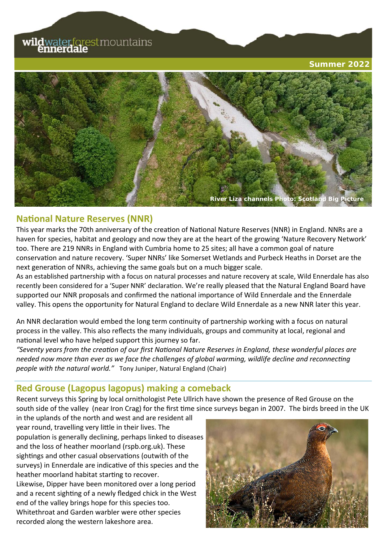# **wild**waterforestmountains

**Summer 2022** 



### **NaƟonal Nature Reserves (NNR)**

This year marks the 70th anniversary of the creation of National Nature Reserves (NNR) in England. NNRs are a haven for species, habitat and geology and now they are at the heart of the growing 'Nature Recovery Network' too. There are 219 NNRs in England with Cumbria home to 25 sites; all have a common goal of nature conservaƟon and nature recovery. 'Super NNRs' like Somerset Wetlands and Purbeck Heaths in Dorset are the next generation of NNRs, achieving the same goals but on a much bigger scale.

As an established partnership with a focus on natural processes and nature recovery at scale, Wild Ennerdale has also recently been considered for a 'Super NNR' declaration. We're really pleased that the Natural England Board have supported our NNR proposals and confirmed the national importance of Wild Ennerdale and the Ennerdale valley. This opens the opportunity for Natural England to declare Wild Ennerdale as a new NNR later this year.

An NNR declaration would embed the long term continuity of partnership working with a focus on natural process in the valley. This also reflects the many individuals, groups and community at local, regional and national level who have helped support this journey so far.

*"Seventy years from the creaƟon of our first NaƟonal Nature Reserves in England, these wonderful places are needed now more than ever as we face the challenges of global warming, wildlife decline and reconnecting people with the natural world."* Tony Juniper, Natural England (Chair)

## **Red Grouse (Lagopus lagopus) making a comeback**

Recent surveys this Spring by local ornithologist Pete Ullrich have shown the presence of Red Grouse on the south side of the valley (near Iron Crag) for the first time since surveys began in 2007. The birds breed in the UK

in the uplands of the north and west and are resident all year round, travelling very little in their lives. The population is generally declining, perhaps linked to diseases and the loss of heather moorland (rspb.org.uk). These sightings and other casual observations (outwith of the surveys) in Ennerdale are indicative of this species and the heather moorland habitat starting to recover. Likewise, Dipper have been monitored over a long period and a recent sighting of a newly fledged chick in the West end of the valley brings hope for this species too. Whitethroat and Garden warbler were other species recorded along the western lakeshore area.